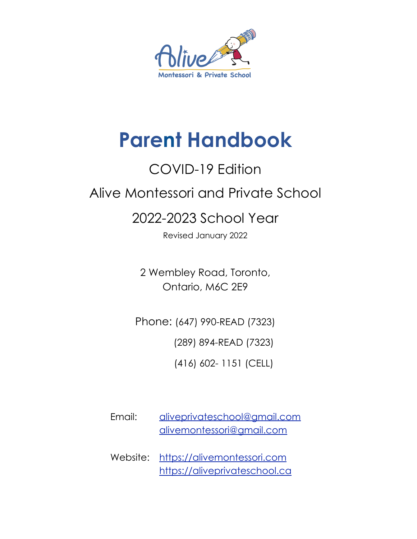

# **Parent Handbook**

# COVID-19 Edition

# Alive Montessori and Private School

# 2022-2023 School Year

Revised January 2022

2 Wembley Road, Toronto, Ontario, M6C 2E9

Phone: (647) 990-READ (7323)

(289) 894-READ (7323)

(416) 602- 1151 (CELL)

- Email: aliveprivateschool@gmail.com alivemontessori@gmail.com
- Website: <https://alivemontessori.com> <https://aliveprivateschool.ca>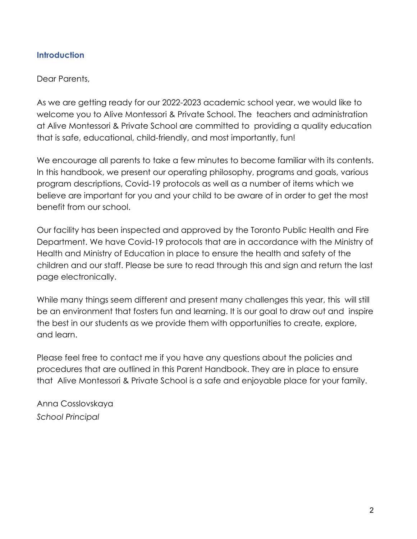# **Introduction**

Dear Parents,

As we are getting ready for our 2022-2023 academic school year, we would like to welcome you to Alive Montessori & Private School. The teachers and administration at Alive Montessori & Private School are committed to providing a quality education that is safe, educational, child-friendly, and most importantly, fun!

We encourage all parents to take a few minutes to become familiar with its contents. In this handbook, we present our operating philosophy, programs and goals, various program descriptions, Covid-19 protocols as well as a number of items which we believe are important for you and your child to be aware of in order to get the most benefit from our school.

Our facility has been inspected and approved by the Toronto Public Health and Fire Department. We have Covid-19 protocols that are in accordance with the Ministry of Health and Ministry of Education in place to ensure the health and safety of the children and our staff. Please be sure to read through this and sign and return the last page electronically.

While many things seem different and present many challenges this year, this will still be an environment that fosters fun and learning. It is our goal to draw out and inspire the best in our students as we provide them with opportunities to create, explore, and learn.

Please feel free to contact me if you have any questions about the policies and procedures that are outlined in this Parent Handbook. They are in place to ensure that Alive Montessori & Private School is a safe and enjoyable place for your family.

Anna Cosslovskaya *School Principal*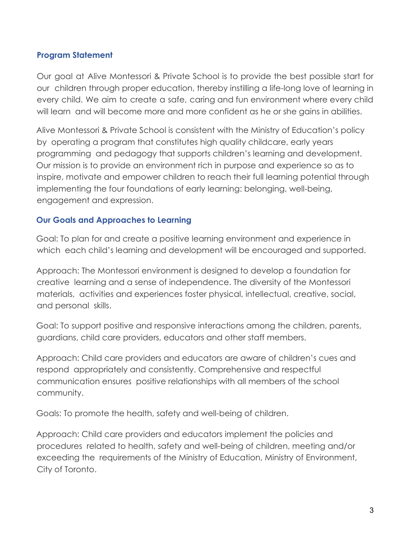# **Program Statement**

Our goal at Alive Montessori & Private School is to provide the best possible start for our children through proper education, thereby instilling a life-long love of learning in every child. We aim to create a safe, caring and fun environment where every child will learn and will become more and more confident as he or she gains in abilities.

Alive Montessori & Private School is consistent with the Ministry of Education's policy by operating a program that constitutes high quality childcare, early years programming and pedagogy that supports children's learning and development. Our mission is to provide an environment rich in purpose and experience so as to inspire, motivate and empower children to reach their full learning potential through implementing the four foundations of early learning: belonging, well-being, engagement and expression.

# **Our Goals and Approaches to Learning**

Goal: To plan for and create a positive learning environment and experience in which each child's learning and development will be encouraged and supported.

Approach: The Montessori environment is designed to develop a foundation for creative learning and a sense of independence. The diversity of the Montessori materials, activities and experiences foster physical, intellectual, creative, social, and personal skills.

Goal: To support positive and responsive interactions among the children, parents, guardians, child care providers, educators and other staff members.

Approach: Child care providers and educators are aware of children's cues and respond appropriately and consistently. Comprehensive and respectful communication ensures positive relationships with all members of the school community.

Goals: To promote the health, safety and well-being of children.

Approach: Child care providers and educators implement the policies and procedures related to health, safety and well-being of children, meeting and/or exceeding the requirements of the Ministry of Education, Ministry of Environment, City of Toronto.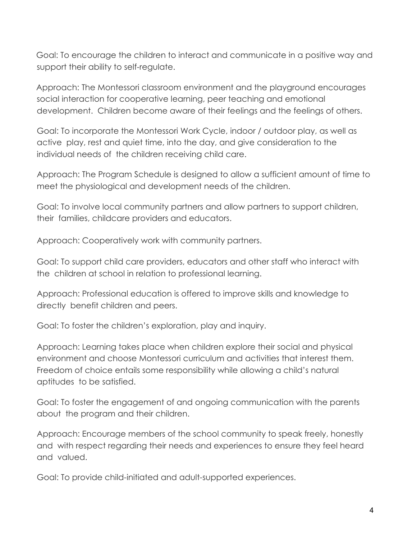Goal: To encourage the children to interact and communicate in a positive way and support their ability to self-regulate.

Approach: The Montessori classroom environment and the playground encourages social interaction for cooperative learning, peer teaching and emotional development. Children become aware of their feelings and the feelings of others.

Goal: To incorporate the Montessori Work Cycle, indoor / outdoor play, as well as active play, rest and quiet time, into the day, and give consideration to the individual needs of the children receiving child care.

Approach: The Program Schedule is designed to allow a sufficient amount of time to meet the physiological and development needs of the children.

Goal: To involve local community partners and allow partners to support children, their families, childcare providers and educators.

Approach: Cooperatively work with community partners.

Goal: To support child care providers, educators and other staff who interact with the children at school in relation to professional learning.

Approach: Professional education is offered to improve skills and knowledge to directly benefit children and peers.

Goal: To foster the children's exploration, play and inquiry.

Approach: Learning takes place when children explore their social and physical environment and choose Montessori curriculum and activities that interest them. Freedom of choice entails some responsibility while allowing a child's natural aptitudes to be satisfied.

Goal: To foster the engagement of and ongoing communication with the parents about the program and their children.

Approach: Encourage members of the school community to speak freely, honestly and with respect regarding their needs and experiences to ensure they feel heard and valued.

Goal: To provide child-initiated and adult-supported experiences.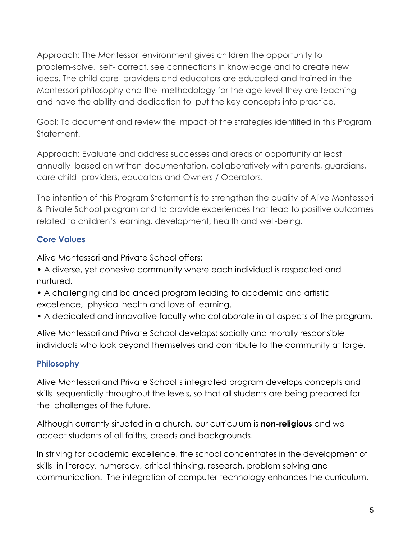Approach: The Montessori environment gives children the opportunity to problem-solve, self- correct, see connections in knowledge and to create new ideas. The child care providers and educators are educated and trained in the Montessori philosophy and the methodology for the age level they are teaching and have the ability and dedication to put the key concepts into practice.

Goal: To document and review the impact of the strategies identified in this Program Statement.

Approach: Evaluate and address successes and areas of opportunity at least annually based on written documentation, collaboratively with parents, guardians, care child providers, educators and Owners / Operators.

The intention of this Program Statement is to strengthen the quality of Alive Montessori & Private School program and to provide experiences that lead to positive outcomes related to children's learning, development, health and well-being.

# **Core Values**

Alive Montessori and Private School offers:

- A diverse, yet cohesive community where each individual is respected and nurtured.
- A challenging and balanced program leading to academic and artistic excellence, physical health and love of learning.
- A dedicated and innovative faculty who collaborate in all aspects of the program.

Alive Montessori and Private School develops: socially and morally responsible individuals who look beyond themselves and contribute to the community at large.

# **Philosophy**

Alive Montessori and Private School's integrated program develops concepts and skills sequentially throughout the levels, so that all students are being prepared for the challenges of the future.

Although currently situated in a church, our curriculum is **non-religious** and we accept students of all faiths, creeds and backgrounds.

In striving for academic excellence, the school concentrates in the development of skills in literacy, numeracy, critical thinking, research, problem solving and communication. The integration of computer technology enhances the curriculum.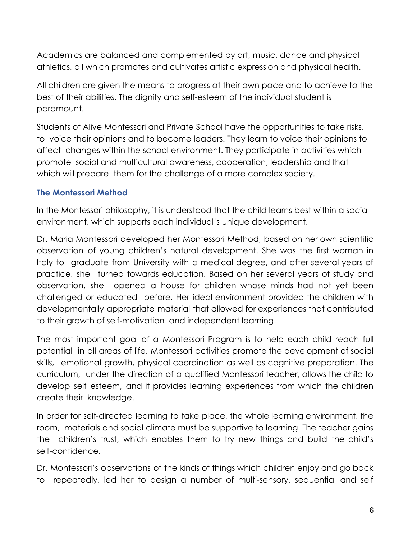Academics are balanced and complemented by art, music, dance and physical athletics, all which promotes and cultivates artistic expression and physical health.

All children are given the means to progress at their own pace and to achieve to the best of their abilities. The dignity and self-esteem of the individual student is paramount.

Students of Alive Montessori and Private School have the opportunities to take risks, to voice their opinions and to become leaders. They learn to voice their opinions to affect changes within the school environment. They participate in activities which promote social and multicultural awareness, cooperation, leadership and that which will prepare them for the challenge of a more complex society.

# **The Montessori Method**

In the Montessori philosophy, it is understood that the child learns best within a social environment, which supports each individual's unique development.

Dr. Maria Montessori developed her Montessori Method, based on her own scientific observation of young children's natural development. She was the first woman in Italy to graduate from University with a medical degree, and after several years of practice, she turned towards education. Based on her several years of study and observation, she opened a house for children whose minds had not yet been challenged or educated before. Her ideal environment provided the children with developmentally appropriate material that allowed for experiences that contributed to their growth of self-motivation and independent learning.

The most important goal of a Montessori Program is to help each child reach full potential in all areas of life. Montessori activities promote the development of social skills, emotional growth, physical coordination as well as cognitive preparation. The curriculum, under the direction of a qualified Montessori teacher, allows the child to develop self esteem, and it provides learning experiences from which the children create their knowledge.

In order for self-directed learning to take place, the whole learning environment, the room, materials and social climate must be supportive to learning. The teacher gains the children's trust, which enables them to try new things and build the child's self-confidence.

Dr. Montessori's observations of the kinds of things which children enjoy and go back to repeatedly, led her to design a number of multi-sensory, sequential and self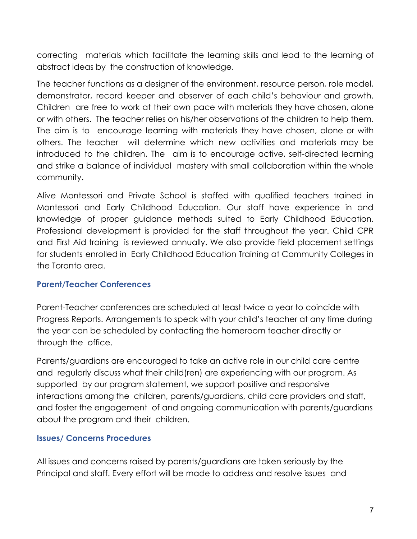correcting materials which facilitate the learning skills and lead to the learning of abstract ideas by the construction of knowledge.

The teacher functions as a designer of the environment, resource person, role model, demonstrator, record keeper and observer of each child's behaviour and growth. Children are free to work at their own pace with materials they have chosen, alone or with others. The teacher relies on his/her observations of the children to help them. The aim is to encourage learning with materials they have chosen, alone or with others. The teacher will determine which new activities and materials may be introduced to the children. The aim is to encourage active, self-directed learning and strike a balance of individual mastery with small collaboration within the whole community.

Alive Montessori and Private School is staffed with qualified teachers trained in Montessori and Early Childhood Education. Our staff have experience in and knowledge of proper guidance methods suited to Early Childhood Education. Professional development is provided for the staff throughout the year. Child CPR and First Aid training is reviewed annually. We also provide field placement settings for students enrolled in Early Childhood Education Training at Community Colleges in the Toronto area.

#### **Parent/Teacher Conferences**

Parent-Teacher conferences are scheduled at least twice a year to coincide with Progress Reports. Arrangements to speak with your child's teacher at any time during the year can be scheduled by contacting the homeroom teacher directly or through the office.

Parents/guardians are encouraged to take an active role in our child care centre and regularly discuss what their child(ren) are experiencing with our program. As supported by our program statement, we support positive and responsive interactions among the children, parents/guardians, child care providers and staff, and foster the engagement of and ongoing communication with parents/guardians about the program and their children.

#### **Issues/ Concerns Procedures**

All issues and concerns raised by parents/guardians are taken seriously by the Principal and staff. Every effort will be made to address and resolve issues and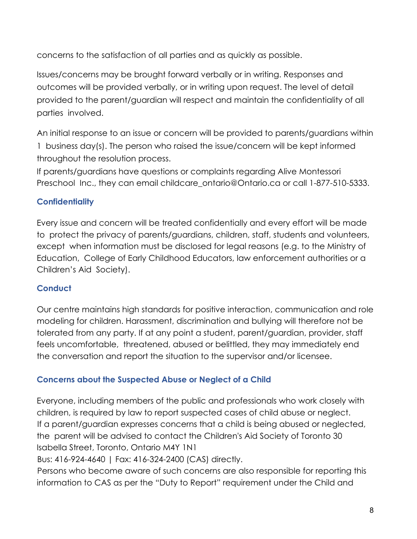concerns to the satisfaction of all parties and as quickly as possible.

Issues/concerns may be brought forward verbally or in writing. Responses and outcomes will be provided verbally, or in writing upon request. The level of detail provided to the parent/guardian will respect and maintain the confidentiality of all parties involved.

An initial response to an issue or concern will be provided to parents/guardians within 1 business day(s). The person who raised the issue/concern will be kept informed throughout the resolution process.

If parents/guardians have questions or complaints regarding Alive Montessori Preschool Inc., they can email childcare\_ontario@Ontario.ca or call 1-877-510-5333.

# **Confidentiality**

Every issue and concern will be treated confidentially and every effort will be made to protect the privacy of parents/guardians, children, staff, students and volunteers, except when information must be disclosed for legal reasons (e.g. to the Ministry of Education, College of Early Childhood Educators, law enforcement authorities or a Children's Aid Society).

# **Conduct**

Our centre maintains high standards for positive interaction, communication and role modeling for children. Harassment, discrimination and bullying will therefore not be tolerated from any party. If at any point a student, parent/guardian, provider, staff feels uncomfortable, threatened, abused or belittled, they may immediately end the conversation and report the situation to the supervisor and/or licensee.

# **Concerns about the Suspected Abuse or Neglect of a Child**

Everyone, including members of the public and professionals who work closely with children, is required by law to report suspected cases of child abuse or neglect. If a parent/guardian expresses concerns that a child is being abused or neglected, the parent will be advised to contact the Children's Aid Society of Toronto 30 Isabella Street, Toronto, Ontario M4Y 1N1

Bus: 416-924-4640 | Fax: 416-324-2400 (CAS) directly.

Persons who become aware of such concerns are also responsible for reporting this information to CAS as per the "Duty to Report" requirement under the Child and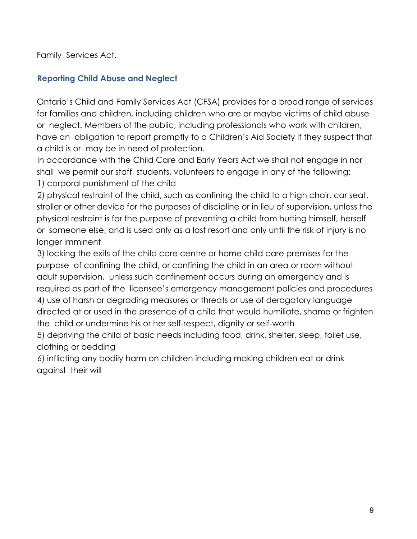Family Services Act.

# **Reporting Child Abuse and Neglect**

Ontario's Child and Family Services Act (CFSA) provides for a broad range of services for families and children, including children who are or maybe victims of child abuse or neglect. Members of the public, including professionals who work with children, have an obligation to report promptly to a Children's Aid Society if they suspect that a child is or may be in need of protection.

In accordance with the Child Care and Early Years Act we shall not engage in nor shall we permit our staff, students, volunteers to engage in any of the following: 1) corporal punishment of the child

2) physical restraint of the child, such as confining the child to a high chair, car seat, stroller or other device for the purposes of discipline or in lieu of supervision, unless the physical restraint is for the purpose of preventing a child from hurting himself, herself or someone else, and is used only as a last resort and only until the risk of injury is no longer imminent

3) locking the exits of the child care centre or home child care premises for the purpose of confining the child, or confining the child in an area or room without adult supervision, unless such confinement occurs during an emergency and is required as part of the licensee's emergency management policies and procedures 4) use of harsh or degrading measures or threats or use of derogatory language directed at or used in the presence of a child that would humiliate, shame or frighten the child or undermine his or her self-respect, dignity or self-worth

5) depriving the child of basic needs including food, drink, shelter, sleep, toilet use, clothing or bedding

6) inflicting any bodily harm on children including making children eat or drink against their will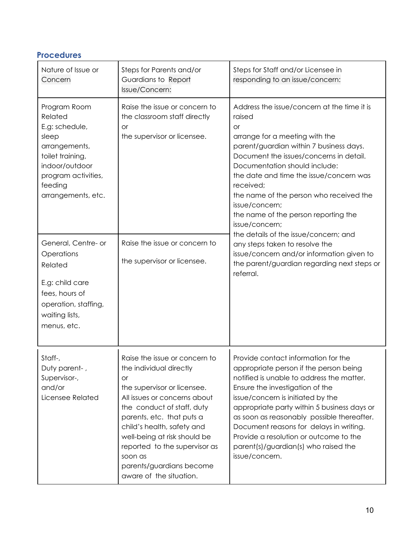# **Procedures**

| Nature of Issue or<br>Concern                                                                                                                                     | Steps for Parents and/or<br>Guardians to Report<br>Issue/Concern:                                                                                                                                                                                                                                                                                         | Steps for Staff and/or Licensee in<br>responding to an issue/concern:                                                                                                                                                                                                                                                                                                                                                                                                                                                                                                                          |
|-------------------------------------------------------------------------------------------------------------------------------------------------------------------|-----------------------------------------------------------------------------------------------------------------------------------------------------------------------------------------------------------------------------------------------------------------------------------------------------------------------------------------------------------|------------------------------------------------------------------------------------------------------------------------------------------------------------------------------------------------------------------------------------------------------------------------------------------------------------------------------------------------------------------------------------------------------------------------------------------------------------------------------------------------------------------------------------------------------------------------------------------------|
| Program Room<br>Related<br>E.g: schedule,<br>sleep<br>arrangements,<br>toilet training,<br>indoor/outdoor<br>program activities,<br>feeding<br>arrangements, etc. | Raise the issue or concern to<br>the classroom staff directly<br>or<br>the supervisor or licensee.                                                                                                                                                                                                                                                        | Address the issue/concern at the time it is<br>raised<br><b>or</b><br>arrange for a meeting with the<br>parent/guardian within 7 business days.<br>Document the issues/concerns in detail.<br>Documentation should include:<br>the date and time the issue/concern was<br>received;<br>the name of the person who received the<br>issue/concern;<br>the name of the person reporting the<br>issue/concern;<br>the details of the issue/concern; and<br>any steps taken to resolve the<br>issue/concern and/or information given to<br>the parent/guardian regarding next steps or<br>referral. |
| General, Centre- or<br>Operations<br>Related<br>E.g: child care<br>fees, hours of<br>operation, staffing,<br>waiting lists,<br>menus, etc.                        | Raise the issue or concern to<br>the supervisor or licensee.                                                                                                                                                                                                                                                                                              |                                                                                                                                                                                                                                                                                                                                                                                                                                                                                                                                                                                                |
| Staff-,<br>Duty parent-,<br>Supervisor-,<br>and/or<br>Licensee Related                                                                                            | Raise the issue or concern to<br>the individual directly<br>or<br>the supervisor or licensee.<br>All issues or concerns about<br>the conduct of staff, duty<br>parents, etc. that puts a<br>child's health, safety and<br>well-being at risk should be<br>reported to the supervisor as<br>soon as<br>parents/guardians become<br>aware of the situation. | Provide contact information for the<br>appropriate person if the person being<br>notified is unable to address the matter.<br>Ensure the investigation of the<br>issue/concern is initiated by the<br>appropriate party within 5 business days or<br>as soon as reasonably possible thereafter.<br>Document reasons for delays in writing.<br>Provide a resolution or outcome to the<br>parent(s)/guardian(s) who raised the<br>issue/concern.                                                                                                                                                 |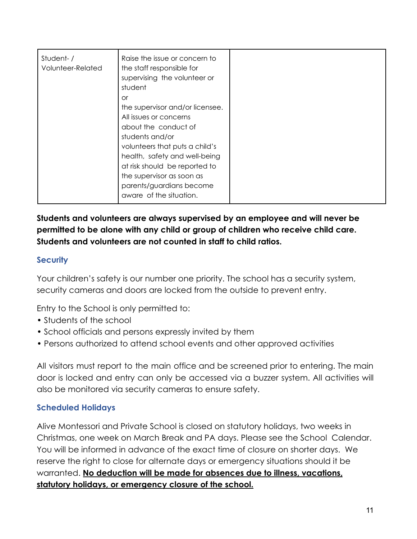| Student-/<br>Volunteer-Related | Raise the issue or concern to<br>the staff responsible for<br>supervising the volunteer or<br>student<br>or<br>the supervisor and/or licensee.<br>All issues or concerns<br>about the conduct of<br>students and/or<br>volunteers that puts a child's<br>health, safety and well-being<br>at risk should be reported to<br>the supervisor as soon as |  |
|--------------------------------|------------------------------------------------------------------------------------------------------------------------------------------------------------------------------------------------------------------------------------------------------------------------------------------------------------------------------------------------------|--|
|                                | parents/guardians become<br>aware of the situation.                                                                                                                                                                                                                                                                                                  |  |

**Students and volunteers are always supervised by an employee and will never be permitted to be alone with any child or group of children who receive child care. Students and volunteers are not counted in staff to child ratios.**

# **Security**

Your children's safety is our number one priority. The school has a security system, security cameras and doors are locked from the outside to prevent entry.

Entry to the School is only permitted to:

- Students of the school
- School officials and persons expressly invited by them
- Persons authorized to attend school events and other approved activities

All visitors must report to the main office and be screened prior to entering. The main door is locked and entry can only be accessed via a buzzer system. All activities will also be monitored via security cameras to ensure safety.

# **Scheduled Holidays**

Alive Montessori and Private School is closed on statutory holidays, two weeks in Christmas, one week on March Break and PA days. Please see the School Calendar. You will be informed in advance of the exact time of closure on shorter days. We reserve the right to close for alternate days or emergency situations should it be warranted. **No deduction will be made for absences due to illness, vacations, statutory holidays, or emergency closure of the school.**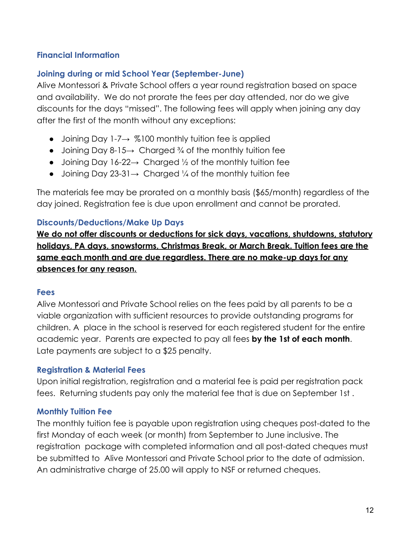# **Financial Information**

#### **Joining during or mid School Year (September-June)**

Alive Montessori & Private School offers a year round registration based on space and availability. We do not prorate the fees per day attended, nor do we give discounts for the days "missed". The following fees will apply when joining any day after the first of the month without any exceptions:

- Joining Day 1-7 $\rightarrow$  %100 monthly tuition fee is applied
- Joining Day 8-15 $\rightarrow$  Charged  $\frac{3}{4}$  of the monthly tuition fee
- Joining Day 16-22 $\rightarrow$  Charged  $\frac{1}{2}$  of the monthly tuition fee
- Joining Day 23-31 $\rightarrow$  Charged ¼ of the monthly tuition fee

The materials fee may be prorated on a monthly basis (\$65/month) regardless of the day joined. Registration fee is due upon enrollment and cannot be prorated.

#### **Discounts/Deductions/Make Up Days**

**We do not offer discounts or deductions for sick days, vacations, shutdowns, statutory holidays, PA days, snowstorms, Christmas Break, or March Break. Tuition fees are the same each month and are due regardless. There are no make-up days for any absences for any reason.**

#### **Fees**

Alive Montessori and Private School relies on the fees paid by all parents to be a viable organization with sufficient resources to provide outstanding programs for children. A place in the school is reserved for each registered student for the entire academic year. Parents are expected to pay all fees **by the 1st of each month**. Late payments are subject to a \$25 penalty.

#### **Registration & Material Fees**

Upon initial registration, registration and a material fee is paid per registration pack fees. Returning students pay only the material fee that is due on September 1st .

# **Monthly Tuition Fee**

The monthly tuition fee is payable upon registration using cheques post-dated to the first Monday of each week (or month) from September to June inclusive. The registration package with completed information and all post-dated cheques must be submitted to Alive Montessori and Private School prior to the date of admission. An administrative charge of 25.00 will apply to NSF or returned cheques.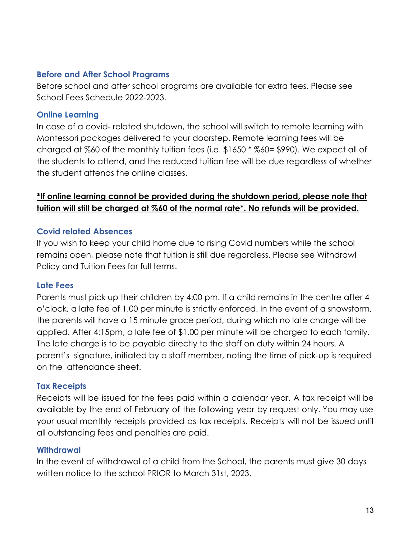#### **Before and After School Programs**

Before school and after school programs are available for extra fees. Please see School Fees Schedule 2022-2023.

#### **Online Learning**

In case of a covid- related shutdown, the school will switch to remote learning with Montessori packages delivered to your doorstep. Remote learning fees will be charged at %60 of the monthly tuition fees (i.e. \$1650 \* %60= \$990). We expect all of the students to attend, and the reduced tuition fee will be due regardless of whether the student attends the online classes.

# **\*If online learning cannot be provided during the shutdown period, please note that tuition will still be charged at %60 of the normal rate\*. No refunds will be provided.**

# **Covid related Absences**

If you wish to keep your child home due to rising Covid numbers while the school remains open, please note that tuition is still due regardless. Please see Withdrawl Policy and Tuition Fees for full terms.

# **Late Fees**

Parents must pick up their children by 4:00 pm. If a child remains in the centre after 4 o'clock, a late fee of 1.00 per minute is strictly enforced. In the event of a snowstorm, the parents will have a 15 minute grace period, during which no late charge will be applied. After 4:15pm, a late fee of \$1.00 per minute will be charged to each family. The late charge is to be payable directly to the staff on duty within 24 hours. A parent's signature, initiated by a staff member, noting the time of pick-up is required on the attendance sheet.

# **Tax Receipts**

Receipts will be issued for the fees paid within a calendar year. A tax receipt will be available by the end of February of the following year by request only. You may use your usual monthly receipts provided as tax receipts. Receipts will not be issued until all outstanding fees and penalties are paid.

# **Withdrawal**

In the event of withdrawal of a child from the School, the parents must give 30 days written notice to the school PRIOR to March 31st, 2023.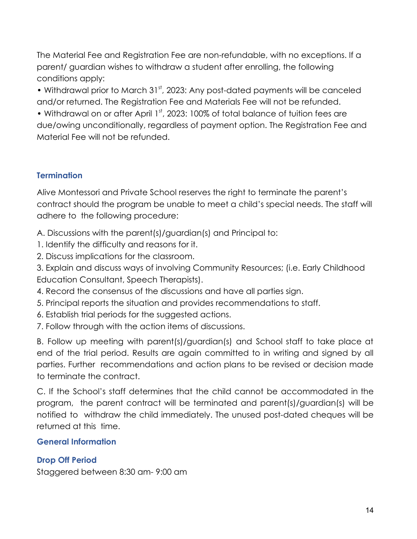The Material Fee and Registration Fee are non-refundable, with no exceptions. If a parent/ guardian wishes to withdraw a student after enrolling, the following conditions apply:

• Withdrawal prior to March 31<sup>st</sup>, 2023: Any post-dated payments will be canceled and/or returned. The Registration Fee and Materials Fee will not be refunded.

• Withdrawal on or after April 1<sup>st</sup>, 2023: 100% of total balance of tuition fees are due/owing unconditionally, regardless of payment option. The Registration Fee and Material Fee will not be refunded.

# **Termination**

Alive Montessori and Private School reserves the right to terminate the parent's contract should the program be unable to meet a child's special needs. The staff will adhere to the following procedure:

A. Discussions with the parent(s)/guardian(s) and Principal to:

- 1. Identify the difficulty and reasons for it.
- 2. Discuss implications for the classroom.

3. Explain and discuss ways of involving Community Resources; (i.e. Early Childhood Education Consultant, Speech Therapists).

- 4. Record the consensus of the discussions and have all parties sign.
- 5. Principal reports the situation and provides recommendations to staff.
- 6. Establish trial periods for the suggested actions.
- 7. Follow through with the action items of discussions.

B. Follow up meeting with parent(s)/guardian(s) and School staff to take place at end of the trial period. Results are again committed to in writing and signed by all parties. Further recommendations and action plans to be revised or decision made to terminate the contract.

C. If the School's staff determines that the child cannot be accommodated in the program, the parent contract will be terminated and parent(s)/guardian(s) will be notified to withdraw the child immediately. The unused post-dated cheques will be returned at this time.

# **General Information**

# **Drop Off Period**

Staggered between 8:30 am- 9:00 am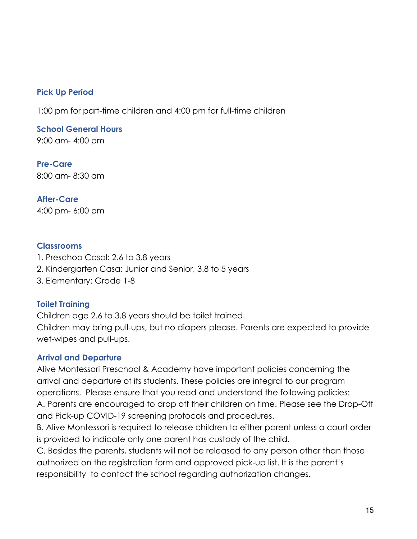# **Pick Up Period**

1:00 pm for part-time children and 4:00 pm for full-time children

**School General Hours** 9:00 am- 4:00 pm

**Pre-Care** 8:00 am- 8:30 am

**After-Care** 4:00 pm- 6:00 pm

#### **Classrooms**

- 1. Preschoo Casal: 2.6 to 3.8 years
- 2. Kindergarten Casa: Junior and Senior, 3.8 to 5 years
- 3. Elementary: Grade 1-8

#### **Toilet Training**

Children age 2.6 to 3.8 years should be toilet trained.

Children may bring pull-ups, but no diapers please. Parents are expected to provide wet-wipes and pull-ups.

#### **Arrival and Departure**

Alive Montessori Preschool & Academy have important policies concerning the arrival and departure of its students. These policies are integral to our program operations. Please ensure that you read and understand the following policies: A. Parents are encouraged to drop off their children on time. Please see the Drop-Off and Pick-up COVID-19 screening protocols and procedures.

B. Alive Montessori is required to release children to either parent unless a court order is provided to indicate only one parent has custody of the child.

C. Besides the parents, students will not be released to any person other than those authorized on the registration form and approved pick-up list. It is the parent's responsibility to contact the school regarding authorization changes.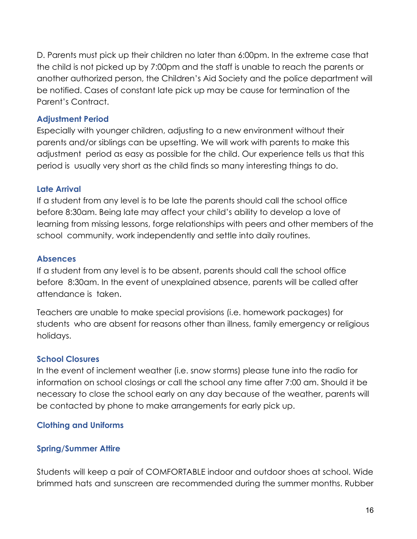D. Parents must pick up their children no later than 6:00pm. In the extreme case that the child is not picked up by 7:00pm and the staff is unable to reach the parents or another authorized person, the Children's Aid Society and the police department will be notified. Cases of constant late pick up may be cause for termination of the Parent's Contract.

#### **Adjustment Period**

Especially with younger children, adjusting to a new environment without their parents and/or siblings can be upsetting. We will work with parents to make this adjustment period as easy as possible for the child. Our experience tells us that this period is usually very short as the child finds so many interesting things to do.

#### **Late Arrival**

If a student from any level is to be late the parents should call the school office before 8:30am. Being late may affect your child's ability to develop a love of learning from missing lessons, forge relationships with peers and other members of the school community, work independently and settle into daily routines.

#### **Absences**

If a student from any level is to be absent, parents should call the school office before 8:30am. In the event of unexplained absence, parents will be called after attendance is taken.

Teachers are unable to make special provisions (i.e. homework packages) for students who are absent for reasons other than illness, family emergency or religious holidays.

# **School Closures**

In the event of inclement weather (i.e. snow storms) please tune into the radio for information on school closings or call the school any time after 7:00 am. Should it be necessary to close the school early on any day because of the weather, parents will be contacted by phone to make arrangements for early pick up.

# **Clothing and Uniforms**

# **Spring/Summer Attire**

Students will keep a pair of COMFORTABLE indoor and outdoor shoes at school. Wide brimmed hats and sunscreen are recommended during the summer months. Rubber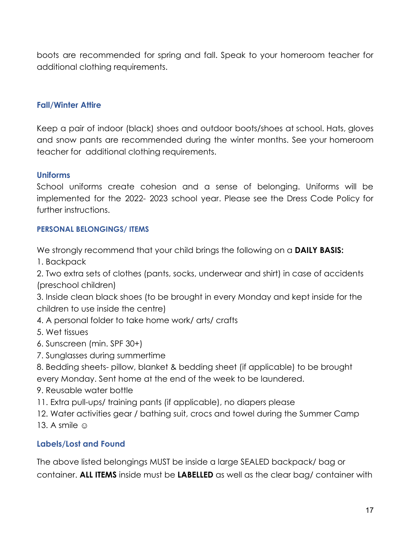boots are recommended for spring and fall. Speak to your homeroom teacher for additional clothing requirements.

#### **Fall/Winter Attire**

Keep a pair of indoor (black) shoes and outdoor boots/shoes at school. Hats, gloves and snow pants are recommended during the winter months. See your homeroom teacher for additional clothing requirements.

#### **Uniforms**

School uniforms create cohesion and a sense of belonging. Uniforms will be implemented for the 2022- 2023 school year. Please see the Dress Code Policy for further instructions.

#### **PERSONAL BELONGINGS/ ITEMS**

We strongly recommend that your child brings the following on a **DAILY BASIS:**

1. Backpack

2. Two extra sets of clothes (pants, socks, underwear and shirt) in case of accidents (preschool children)

3. Inside clean black shoes (to be brought in every Monday and kept inside for the children to use inside the centre)

- 4. A personal folder to take home work/ arts/ crafts
- 5. Wet tissues
- 6. Sunscreen (min. SPF 30+)
- 7. Sunglasses during summertime
- 8. Bedding sheets- pillow, blanket & bedding sheet (if applicable) to be brought every Monday. Sent home at the end of the week to be laundered.
- 9. Reusable water bottle
- 11. Extra pull-ups/ training pants (if applicable), no diapers please
- 12. Water activities gear / bathing suit, crocs and towel during the Summer Camp
- 13. A smile  $\odot$

#### **Labels/Lost and Found**

The above listed belongings MUST be inside a large SEALED backpack/ bag or container. **ALL ITEMS** inside must be **LABELLED** as well as the clear bag/ container with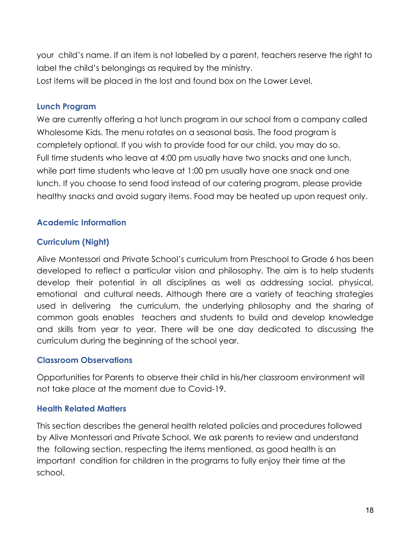your child's name. If an item is not labelled by a parent, teachers reserve the right to label the child's belongings as required by the ministry. Lost items will be placed in the lost and found box on the Lower Level.

#### **Lunch Program**

We are currently offering a hot lunch program in our school from a company called Wholesome Kids. The menu rotates on a seasonal basis. The food program is completely optional. If you wish to provide food for our child, you may do so. Full time students who leave at 4:00 pm usually have two snacks and one lunch, while part time students who leave at 1:00 pm usually have one snack and one lunch. If you choose to send food instead of our catering program, please provide healthy snacks and avoid sugary items. Food may be heated up upon request only.

# **Academic Information**

# **Curriculum (Night)**

Alive Montessori and Private School's curriculum from Preschool to Grade 6 has been developed to reflect a particular vision and philosophy. The aim is to help students develop their potential in all disciplines as well as addressing social, physical, emotional and cultural needs. Although there are a variety of teaching strategies used in delivering the curriculum, the underlying philosophy and the sharing of common goals enables teachers and students to build and develop knowledge and skills from year to year. There will be one day dedicated to discussing the curriculum during the beginning of the school year.

# **Classroom Observations**

Opportunities for Parents to observe their child in his/her classroom environment will not take place at the moment due to Covid-19.

# **Health Related Matters**

This section describes the general health related policies and procedures followed by Alive Montessori and Private School. We ask parents to review and understand the following section, respecting the items mentioned, as good health is an important condition for children in the programs to fully enjoy their time at the school.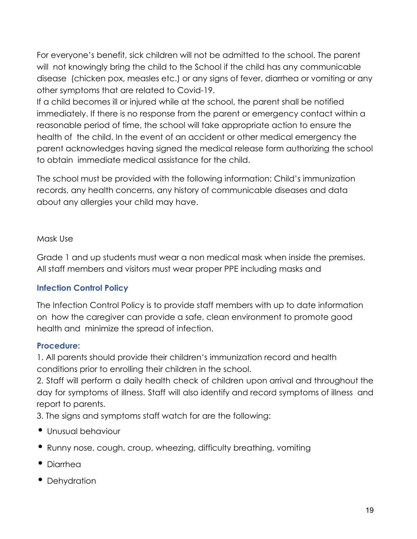For everyone's benefit, sick children will not be admitted to the school. The parent will not knowingly bring the child to the School if the child has any communicable disease (chicken pox, measles etc.) or any signs of fever, diarrhea or vomiting or any other symptoms that are related to Covid-19.

If a child becomes ill or injured while at the school, the parent shall be notified immediately. If there is no response from the parent or emergency contact within a reasonable period of time, the school will take appropriate action to ensure the health of the child. In the event of an accident or other medical emergency the parent acknowledges having signed the medical release form authorizing the school to obtain immediate medical assistance for the child.

The school must be provided with the following information: Child's immunization records, any health concerns, any history of communicable diseases and data about any allergies your child may have.

#### Mask Use

Grade 1 and up students must wear a non medical mask when inside the premises. All staff members and visitors must wear proper PPE including masks and

# **Infection Control Policy**

The Infection Control Policy is to provide staff members with up to date information on how the caregiver can provide a safe, clean environment to promote good health and minimize the spread of infection.

#### **Procedure:**

1. All parents should provide their children's immunization record and health conditions prior to enrolling their children in the school.

2. Staff will perform a daily health check of children upon arrival and throughout the day for symptoms of illness. Staff will also identify and record symptoms of illness and report to parents.

3. The signs and symptoms staff watch for are the following:

- Unusual behaviour
- Runny nose, cough, croup, wheezing, difficulty breathing, vomiting
- Diarrhea
- Dehydration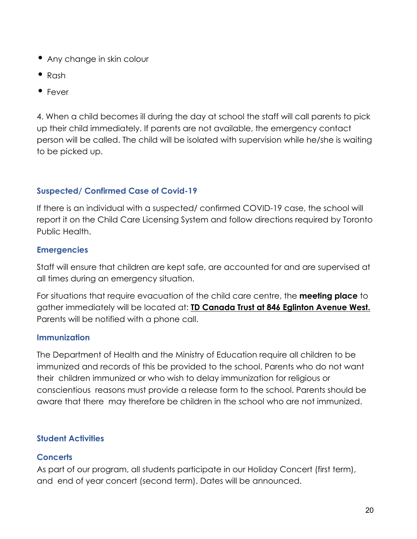- Any change in skin colour
- Rash
- Fever

4. When a child becomes ill during the day at school the staff will call parents to pick up their child immediately. If parents are not available, the emergency contact person will be called. The child will be isolated with supervision while he/she is waiting to be picked up.

# **Suspected/ Confirmed Case of Covid-19**

If there is an individual with a suspected/ confirmed COVID-19 case, the school will report it on the Child Care Licensing System and follow directions required by Toronto Public Health.

# **Emergencies**

Staff will ensure that children are kept safe, are accounted for and are supervised at all times during an emergency situation.

For situations that require evacuation of the child care centre, the **meeting place** to gather immediately will be located at: **TD Canada Trust at 846 Eglinton Avenue West.** Parents will be notified with a phone call.

# **Immunization**

The Department of Health and the Ministry of Education require all children to be immunized and records of this be provided to the school. Parents who do not want their children immunized or who wish to delay immunization for religious or conscientious reasons must provide a release form to the school. Parents should be aware that there may therefore be children in the school who are not immunized.

# **Student Activities**

# **Concerts**

As part of our program, all students participate in our Holiday Concert (first term), and end of year concert (second term). Dates will be announced.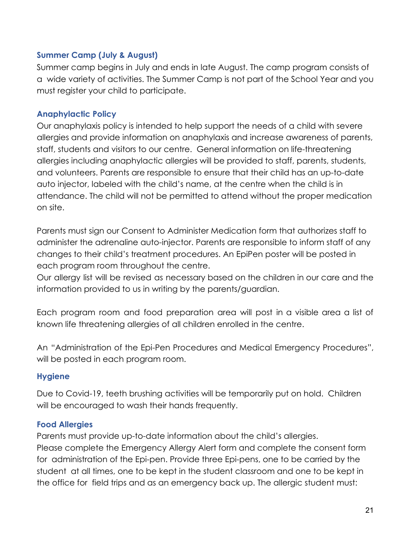# **Summer Camp (July & August)**

Summer camp begins in July and ends in late August. The camp program consists of a wide variety of activities. The Summer Camp is not part of the School Year and you must register your child to participate.

# **Anaphylactic Policy**

Our anaphylaxis policy is intended to help support the needs of a child with severe allergies and provide information on anaphylaxis and increase awareness of parents, staff, students and visitors to our centre. General information on life-threatening allergies including anaphylactic allergies will be provided to staff, parents, students, and volunteers. Parents are responsible to ensure that their child has an up-to-date auto injector, labeled with the child's name, at the centre when the child is in attendance. The child will not be permitted to attend without the proper medication on site.

Parents must sign our Consent to Administer Medication form that authorizes staff to administer the adrenaline auto-injector. Parents are responsible to inform staff of any changes to their child's treatment procedures. An EpiPen poster will be posted in each program room throughout the centre.

Our allergy list will be revised as necessary based on the children in our care and the information provided to us in writing by the parents/guardian.

Each program room and food preparation area will post in a visible area a list of known life threatening allergies of all children enrolled in the centre.

An "Administration of the Epi-Pen Procedures and Medical Emergency Procedures", will be posted in each program room.

#### **Hygiene**

Due to Covid-19, teeth brushing activities will be temporarily put on hold. Children will be encouraged to wash their hands frequently.

#### **Food Allergies**

Parents must provide up-to-date information about the child's allergies. Please complete the Emergency Allergy Alert form and complete the consent form for administration of the Epi-pen. Provide three Epi-pens, one to be carried by the student at all times, one to be kept in the student classroom and one to be kept in the office for field trips and as an emergency back up. The allergic student must: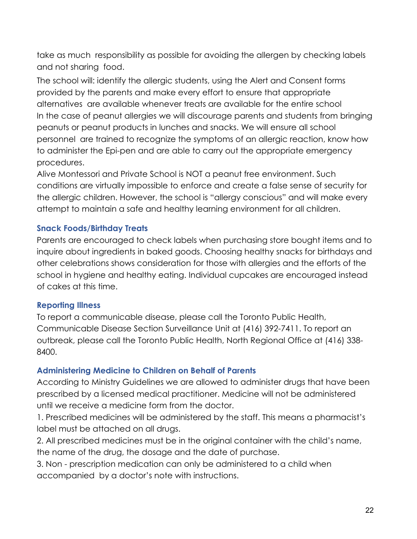take as much responsibility as possible for avoiding the allergen by checking labels and not sharing food.

The school will: identify the allergic students, using the Alert and Consent forms provided by the parents and make every effort to ensure that appropriate alternatives are available whenever treats are available for the entire school In the case of peanut allergies we will discourage parents and students from bringing peanuts or peanut products in lunches and snacks. We will ensure all school personnel are trained to recognize the symptoms of an allergic reaction, know how to administer the Epi-pen and are able to carry out the appropriate emergency procedures.

Alive Montessori and Private School is NOT a peanut free environment. Such conditions are virtually impossible to enforce and create a false sense of security for the allergic children. However, the school is "allergy conscious" and will make every attempt to maintain a safe and healthy learning environment for all children.

#### **Snack Foods/Birthday Treats**

Parents are encouraged to check labels when purchasing store bought items and to inquire about ingredients in baked goods. Choosing healthy snacks for birthdays and other celebrations shows consideration for those with allergies and the efforts of the school in hygiene and healthy eating. Individual cupcakes are encouraged instead of cakes at this time.

#### **Reporting Illness**

To report a communicable disease, please call the Toronto Public Health, Communicable Disease Section Surveillance Unit at (416) 392-7411. To report an outbreak, please call the Toronto Public Health, North Regional Office at (416) 338- 8400.

#### **Administering Medicine to Children on Behalf of Parents**

According to Ministry Guidelines we are allowed to administer drugs that have been prescribed by a licensed medical practitioner. Medicine will not be administered until we receive a medicine form from the doctor.

1. Prescribed medicines will be administered by the staff. This means a pharmacist's label must be attached on all drugs.

2. All prescribed medicines must be in the original container with the child's name, the name of the drug, the dosage and the date of purchase.

3. Non - prescription medication can only be administered to a child when accompanied by a doctor's note with instructions.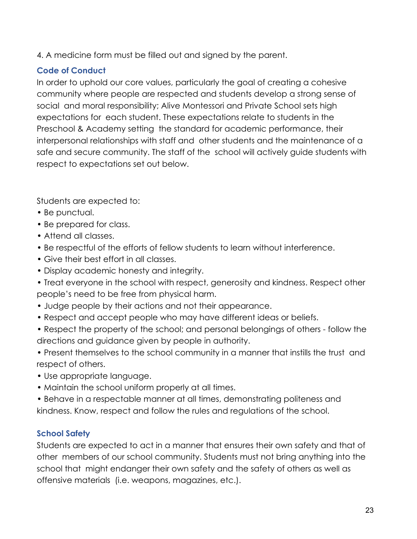4. A medicine form must be filled out and signed by the parent.

# **Code of Conduct**

In order to uphold our core values, particularly the goal of creating a cohesive community where people are respected and students develop a strong sense of social and moral responsibility; Alive Montessori and Private School sets high expectations for each student. These expectations relate to students in the Preschool & Academy setting the standard for academic performance, their interpersonal relationships with staff and other students and the maintenance of a safe and secure community. The staff of the school will actively guide students with respect to expectations set out below.

Students are expected to:

- Be punctual.
- Be prepared for class.
- Attend all classes.
- Be respectful of the efforts of fellow students to learn without interference.
- Give their best effort in all classes.
- Display academic honesty and integrity.
- Treat everyone in the school with respect, generosity and kindness. Respect other people's need to be free from physical harm.
- Judge people by their actions and not their appearance.
- Respect and accept people who may have different ideas or beliefs.
- Respect the property of the school; and personal belongings of others follow the directions and guidance given by people in authority.
- Present themselves to the school community in a manner that instills the trust and respect of others.
- Use appropriate language.
- Maintain the school uniform properly at all times.
- Behave in a respectable manner at all times, demonstrating politeness and kindness. Know, respect and follow the rules and regulations of the school.

# **School Safety**

Students are expected to act in a manner that ensures their own safety and that of other members of our school community. Students must not bring anything into the school that might endanger their own safety and the safety of others as well as offensive materials (i.e. weapons, magazines, etc.).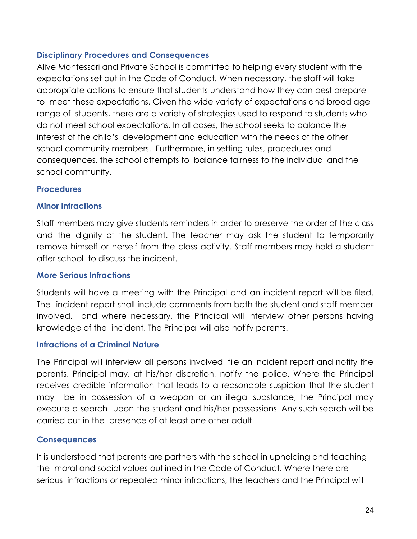#### **Disciplinary Procedures and Consequences**

Alive Montessori and Private School is committed to helping every student with the expectations set out in the Code of Conduct. When necessary, the staff will take appropriate actions to ensure that students understand how they can best prepare to meet these expectations. Given the wide variety of expectations and broad age range of students, there are a variety of strategies used to respond to students who do not meet school expectations. In all cases, the school seeks to balance the interest of the child's development and education with the needs of the other school community members. Furthermore, in setting rules, procedures and consequences, the school attempts to balance fairness to the individual and the school community.

#### **Procedures**

#### **Minor Infractions**

Staff members may give students reminders in order to preserve the order of the class and the dignity of the student. The teacher may ask the student to temporarily remove himself or herself from the class activity. Staff members may hold a student after school to discuss the incident.

#### **More Serious Infractions**

Students will have a meeting with the Principal and an incident report will be filed. The incident report shall include comments from both the student and staff member involved, and where necessary, the Principal will interview other persons having knowledge of the incident. The Principal will also notify parents.

# **Infractions of a Criminal Nature**

The Principal will interview all persons involved, file an incident report and notify the parents. Principal may, at his/her discretion, notify the police. Where the Principal receives credible information that leads to a reasonable suspicion that the student may be in possession of a weapon or an illegal substance, the Principal may execute a search upon the student and his/her possessions. Any such search will be carried out in the presence of at least one other adult.

# **Consequences**

It is understood that parents are partners with the school in upholding and teaching the moral and social values outlined in the Code of Conduct. Where there are serious infractions or repeated minor infractions, the teachers and the Principal will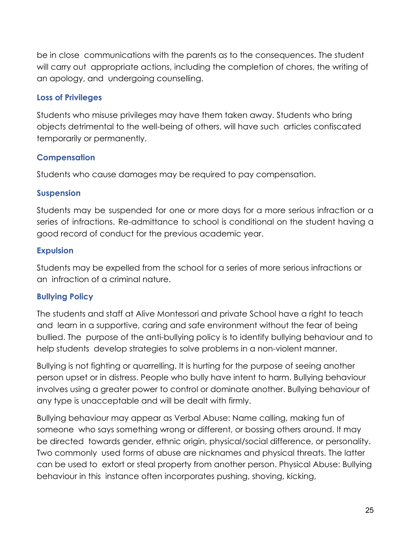be in close communications with the parents as to the consequences. The student will carry out appropriate actions, including the completion of chores, the writing of an apology, and undergoing counselling.

# **Loss of Privileges**

Students who misuse privileges may have them taken away. Students who bring objects detrimental to the well-being of others, will have such articles confiscated temporarily or permanently.

# **Compensation**

Students who cause damages may be required to pay compensation.

# **Suspension**

Students may be suspended for one or more days for a more serious infraction or a series of infractions. Re-admittance to school is conditional on the student having a good record of conduct for the previous academic year.

# **Expulsion**

Students may be expelled from the school for a series of more serious infractions or an infraction of a criminal nature.

# **Bullying Policy**

The students and staff at Alive Montessori and private School have a right to teach and learn in a supportive, caring and safe environment without the fear of being bullied. The purpose of the anti-bullying policy is to identify bullying behaviour and to help students develop strategies to solve problems in a non-violent manner.

Bullying is not fighting or quarrelling. It is hurting for the purpose of seeing another person upset or in distress. People who bully have intent to harm. Bullying behaviour involves using a greater power to control or dominate another. Bullying behaviour of any type is unacceptable and will be dealt with firmly.

Bullying behaviour may appear as Verbal Abuse: Name calling, making fun of someone who says something wrong or different, or bossing others around. It may be directed towards gender, ethnic origin, physical/social difference, or personality. Two commonly used forms of abuse are nicknames and physical threats. The latter can be used to extort or steal property from another person. Physical Abuse: Bullying behaviour in this instance often incorporates pushing, shoving, kicking,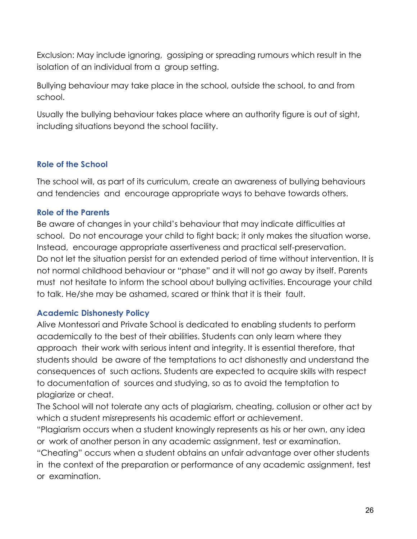Exclusion: May include ignoring, gossiping or spreading rumours which result in the isolation of an individual from a group setting.

Bullying behaviour may take place in the school, outside the school, to and from school.

Usually the bullying behaviour takes place where an authority figure is out of sight, including situations beyond the school facility.

# **Role of the School**

The school will, as part of its curriculum, create an awareness of bullying behaviours and tendencies and encourage appropriate ways to behave towards others.

# **Role of the Parents**

Be aware of changes in your child's behaviour that may indicate difficulties at school. Do not encourage your child to fight back; it only makes the situation worse. Instead, encourage appropriate assertiveness and practical self-preservation. Do not let the situation persist for an extended period of time without intervention. It is not normal childhood behaviour or "phase" and it will not go away by itself. Parents must not hesitate to inform the school about bullying activities. Encourage your child to talk. He/she may be ashamed, scared or think that it is their fault.

# **Academic Dishonesty Policy**

Alive Montessori and Private School is dedicated to enabling students to perform academically to the best of their abilities. Students can only learn where they approach their work with serious intent and integrity. It is essential therefore, that students should be aware of the temptations to act dishonestly and understand the consequences of such actions. Students are expected to acquire skills with respect to documentation of sources and studying, so as to avoid the temptation to plagiarize or cheat.

The School will not tolerate any acts of plagiarism, cheating, collusion or other act by which a student misrepresents his academic effort or achievement.

"Plagiarism occurs when a student knowingly represents as his or her own, any idea or work of another person in any academic assignment, test or examination.

"Cheating" occurs when a student obtains an unfair advantage over other students in the context of the preparation or performance of any academic assignment, test or examination.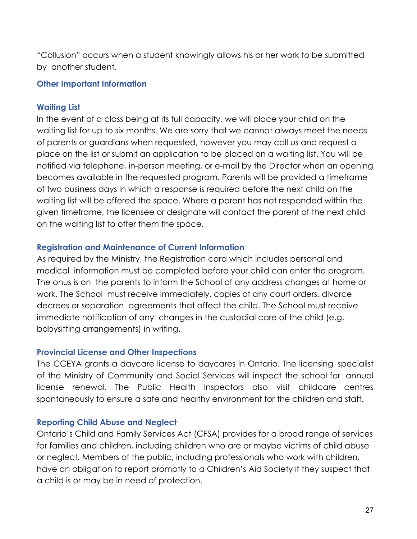"Collusion" occurs when a student knowingly allows his or her work to be submitted by another student.

#### **Other Important Information**

#### **Waiting List**

In the event of a class being at its full capacity, we will place your child on the waiting list for up to six months. We are sorry that we cannot always meet the needs of parents or guardians when requested, however you may call us and request a place on the list or submit an application to be placed on a waiting list. You will be notified via telephone, in-person meeting, or e-mail by the Director when an opening becomes available in the requested program. Parents will be provided a timeframe of two business days in which a response is required before the next child on the waiting list will be offered the space. Where a parent has not responded within the given timeframe, the licensee or designate will contact the parent of the next child on the waiting list to offer them the space.

#### **Registration and Maintenance of Current Information**

As required by the Ministry, the Registration card which includes personal and medical information must be completed before your child can enter the program. The onus is on the parents to inform the School of any address changes at home or work. The School must receive immediately, copies of any court orders, divorce decrees or separation agreements that affect the child. The School must receive immediate notification of any changes in the custodial care of the child (e.g. babysitting arrangements) in writing.

#### **Provincial License and Other Inspections**

The CCEYA grants a daycare license to daycares in Ontario. The licensing specialist of the Ministry of Community and Social Services will inspect the school for annual license renewal. The Public Health Inspectors also visit childcare centres spontaneously to ensure a safe and healthy environment for the children and staff.

#### **Reporting Child Abuse and Neglect**

Ontario's Child and Family Services Act (CFSA) provides for a broad range of services for families and children, including children who are or maybe victims of child abuse or neglect. Members of the public, including professionals who work with children, have an obligation to report promptly to a Children's Aid Society if they suspect that a child is or may be in need of protection.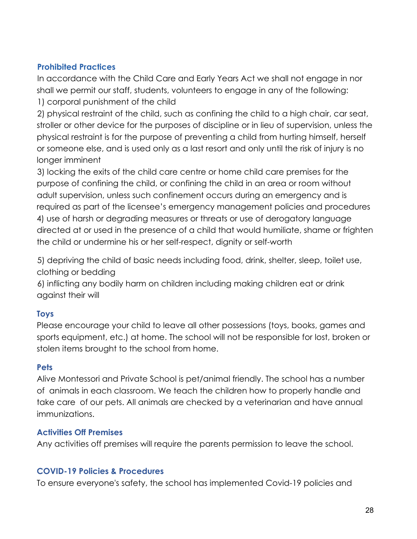# **Prohibited Practices**

In accordance with the Child Care and Early Years Act we shall not engage in nor shall we permit our staff, students, volunteers to engage in any of the following: 1) corporal punishment of the child

2) physical restraint of the child, such as confining the child to a high chair, car seat, stroller or other device for the purposes of discipline or in lieu of supervision, unless the physical restraint is for the purpose of preventing a child from hurting himself, herself or someone else, and is used only as a last resort and only until the risk of injury is no longer imminent

3) locking the exits of the child care centre or home child care premises for the purpose of confining the child, or confining the child in an area or room without adult supervision, unless such confinement occurs during an emergency and is required as part of the licensee's emergency management policies and procedures 4) use of harsh or degrading measures or threats or use of derogatory language directed at or used in the presence of a child that would humiliate, shame or frighten the child or undermine his or her self-respect, dignity or self-worth

5) depriving the child of basic needs including food, drink, shelter, sleep, toilet use, clothing or bedding

6) inflicting any bodily harm on children including making children eat or drink against their will

# **Toys**

Please encourage your child to leave all other possessions (toys, books, games and sports equipment, etc.) at home. The school will not be responsible for lost, broken or stolen items brought to the school from home.

# **Pets**

Alive Montessori and Private School is pet/animal friendly. The school has a number of animals in each classroom. We teach the children how to properly handle and take care of our pets. All animals are checked by a veterinarian and have annual immunizations.

# **Activities Off Premises**

Any activities off premises will require the parents permission to leave the school.

#### **COVID-19 Policies & Procedures**

To ensure everyone's safety, the school has implemented Covid-19 policies and